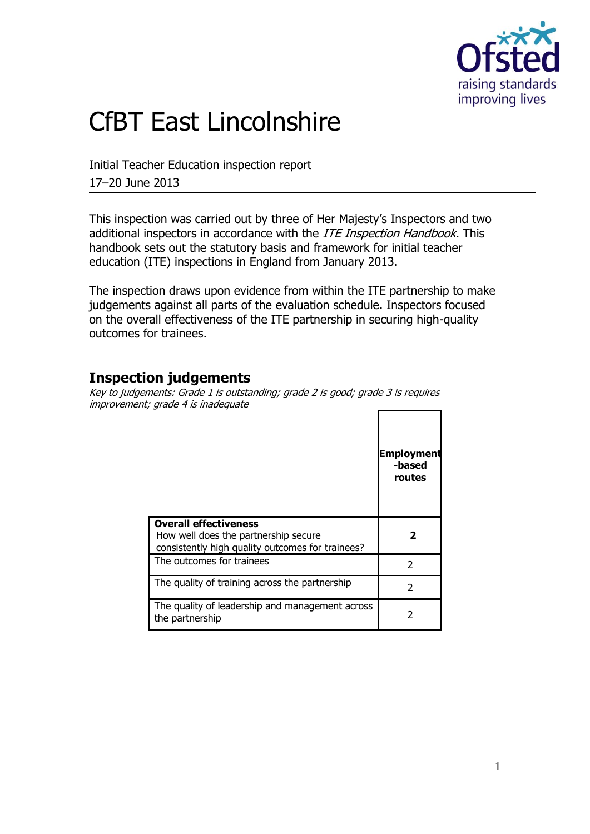

# CfBT East Lincolnshire

Initial Teacher Education inspection report

17–20 June 2013

This inspection was carried out by three of Her Majesty's Inspectors and two additional inspectors in accordance with the *ITE Inspection Handbook*. This handbook sets out the statutory basis and framework for initial teacher education (ITE) inspections in England from January 2013.

The inspection draws upon evidence from within the ITE partnership to make judgements against all parts of the evaluation schedule. Inspectors focused on the overall effectiveness of the ITE partnership in securing high-quality outcomes for trainees.

## **Inspection judgements**

Key to judgements: Grade 1 is outstanding; grade 2 is good; grade 3 is requires improvement; grade 4 is inadequate

|                                                                                                                          | <b>Employment</b><br>-based<br>routes |
|--------------------------------------------------------------------------------------------------------------------------|---------------------------------------|
| <b>Overall effectiveness</b><br>How well does the partnership secure<br>consistently high quality outcomes for trainees? |                                       |
| The outcomes for trainees                                                                                                | C                                     |
| The quality of training across the partnership                                                                           | $\mathcal{P}$                         |
| The quality of leadership and management across<br>the partnership                                                       |                                       |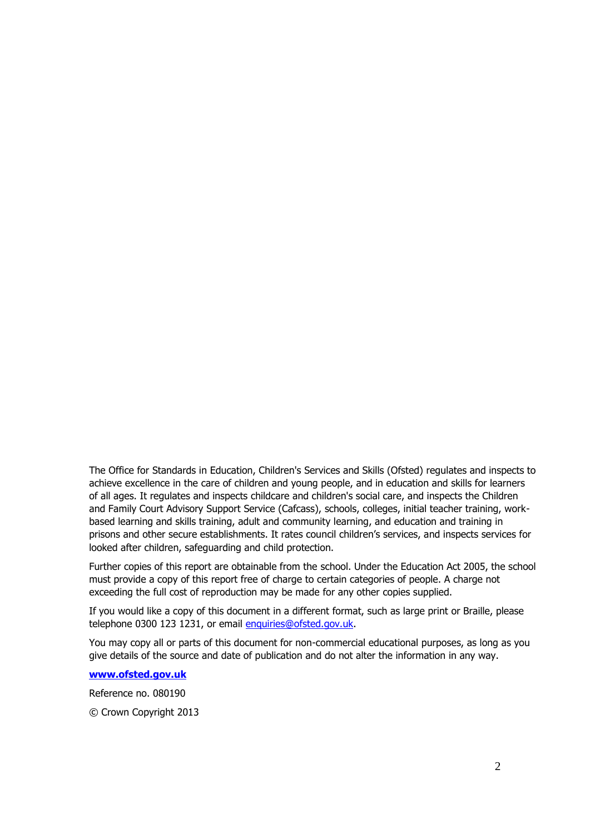The Office for Standards in Education, Children's Services and Skills (Ofsted) regulates and inspects to achieve excellence in the care of children and young people, and in education and skills for learners of all ages. It regulates and inspects childcare and children's social care, and inspects the Children and Family Court Advisory Support Service (Cafcass), schools, colleges, initial teacher training, workbased learning and skills training, adult and community learning, and education and training in prisons and other secure establishments. It rates council children's services, and inspects services for looked after children, safeguarding and child protection.

Further copies of this report are obtainable from the school. Under the Education Act 2005, the school must provide a copy of this report free of charge to certain categories of people. A charge not exceeding the full cost of reproduction may be made for any other copies supplied.

If you would like a copy of this document in a different format, such as large print or Braille, please telephone 0300 123 1231, or email enquiries@ofsted.gov.uk.

You may copy all or parts of this document for non-commercial educational purposes, as long as you give details of the source and date of publication and do not alter the information in any way.

**[www.ofsted.gov.uk](http://www.ofsted.gov.uk/)**

Reference no. 080190

© Crown Copyright 2013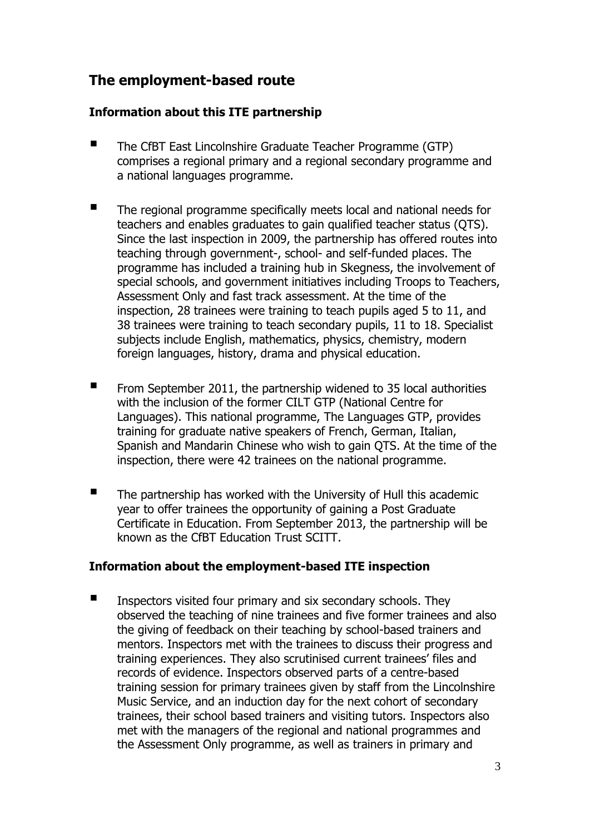# **The employment-based route**

#### **Information about this ITE partnership**

- The CfBT East Lincolnshire Graduate Teacher Programme (GTP) comprises a regional primary and a regional secondary programme and a national languages programme.
- The regional programme specifically meets local and national needs for teachers and enables graduates to gain qualified teacher status (QTS). Since the last inspection in 2009, the partnership has offered routes into teaching through government-, school- and self-funded places. The programme has included a training hub in Skegness, the involvement of special schools, and government initiatives including Troops to Teachers, Assessment Only and fast track assessment. At the time of the inspection, 28 trainees were training to teach pupils aged 5 to 11, and 38 trainees were training to teach secondary pupils, 11 to 18. Specialist subjects include English, mathematics, physics, chemistry, modern foreign languages, history, drama and physical education.
- $\blacksquare$  From September 2011, the partnership widened to 35 local authorities with the inclusion of the former CILT GTP (National Centre for Languages). This national programme, The Languages GTP, provides training for graduate native speakers of French, German, Italian, Spanish and Mandarin Chinese who wish to gain QTS. At the time of the inspection, there were 42 trainees on the national programme.
- The partnership has worked with the University of Hull this academic year to offer trainees the opportunity of gaining a Post Graduate Certificate in Education. From September 2013, the partnership will be known as the CfBT Education Trust SCITT.

#### **Information about the employment-based ITE inspection**

 Inspectors visited four primary and six secondary schools. They observed the teaching of nine trainees and five former trainees and also the giving of feedback on their teaching by school-based trainers and mentors. Inspectors met with the trainees to discuss their progress and training experiences. They also scrutinised current trainees' files and records of evidence. Inspectors observed parts of a centre-based training session for primary trainees given by staff from the Lincolnshire Music Service, and an induction day for the next cohort of secondary trainees, their school based trainers and visiting tutors. Inspectors also met with the managers of the regional and national programmes and the Assessment Only programme, as well as trainers in primary and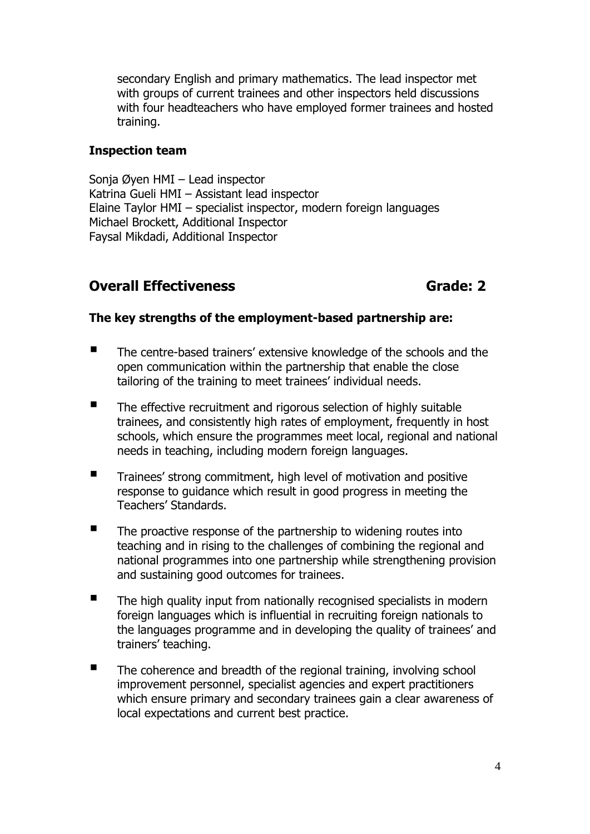secondary English and primary mathematics. The lead inspector met with groups of current trainees and other inspectors held discussions with four headteachers who have employed former trainees and hosted training.

#### **Inspection team**

Sonja Øyen HMI – Lead inspector Katrina Gueli HMI – Assistant lead inspector Elaine Taylor HMI – specialist inspector, modern foreign languages Michael Brockett, Additional Inspector Faysal Mikdadi, Additional Inspector

### **Overall Effectiveness** Grade: 2

#### **The key strengths of the employment-based partnership are:**

- The centre-based trainers' extensive knowledge of the schools and the open communication within the partnership that enable the close tailoring of the training to meet trainees' individual needs.
- The effective recruitment and rigorous selection of highly suitable trainees, and consistently high rates of employment, frequently in host schools, which ensure the programmes meet local, regional and national needs in teaching, including modern foreign languages.
- **Trainees' strong commitment, high level of motivation and positive** response to guidance which result in good progress in meeting the Teachers' Standards.
- $\blacksquare$  The proactive response of the partnership to widening routes into teaching and in rising to the challenges of combining the regional and national programmes into one partnership while strengthening provision and sustaining good outcomes for trainees.
- The high quality input from nationally recognised specialists in modern foreign languages which is influential in recruiting foreign nationals to the languages programme and in developing the quality of trainees' and trainers' teaching.
- $\blacksquare$  The coherence and breadth of the regional training, involving school improvement personnel, specialist agencies and expert practitioners which ensure primary and secondary trainees gain a clear awareness of local expectations and current best practice.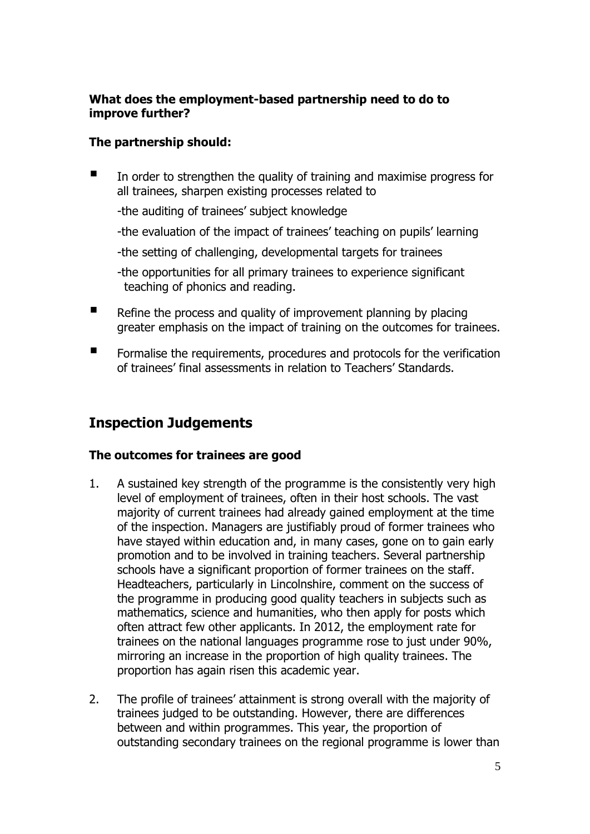#### **What does the employment-based partnership need to do to improve further?**

#### **The partnership should:**

 In order to strengthen the quality of training and maximise progress for all trainees, sharpen existing processes related to

-the auditing of trainees' subject knowledge

-the evaluation of the impact of trainees' teaching on pupils' learning

-the setting of challenging, developmental targets for trainees

-the opportunities for all primary trainees to experience significant teaching of phonics and reading.

- $\blacksquare$  Refine the process and quality of improvement planning by placing greater emphasis on the impact of training on the outcomes for trainees.
- **F** Formalise the requirements, procedures and protocols for the verification of trainees' final assessments in relation to Teachers' Standards.

# **Inspection Judgements**

#### **The outcomes for trainees are good**

- 1. A sustained key strength of the programme is the consistently very high level of employment of trainees, often in their host schools. The vast majority of current trainees had already gained employment at the time of the inspection. Managers are justifiably proud of former trainees who have stayed within education and, in many cases, gone on to gain early promotion and to be involved in training teachers. Several partnership schools have a significant proportion of former trainees on the staff. Headteachers, particularly in Lincolnshire, comment on the success of the programme in producing good quality teachers in subjects such as mathematics, science and humanities, who then apply for posts which often attract few other applicants. In 2012, the employment rate for trainees on the national languages programme rose to just under 90%, mirroring an increase in the proportion of high quality trainees. The proportion has again risen this academic year.
- 2. The profile of trainees' attainment is strong overall with the majority of trainees judged to be outstanding. However, there are differences between and within programmes. This year, the proportion of outstanding secondary trainees on the regional programme is lower than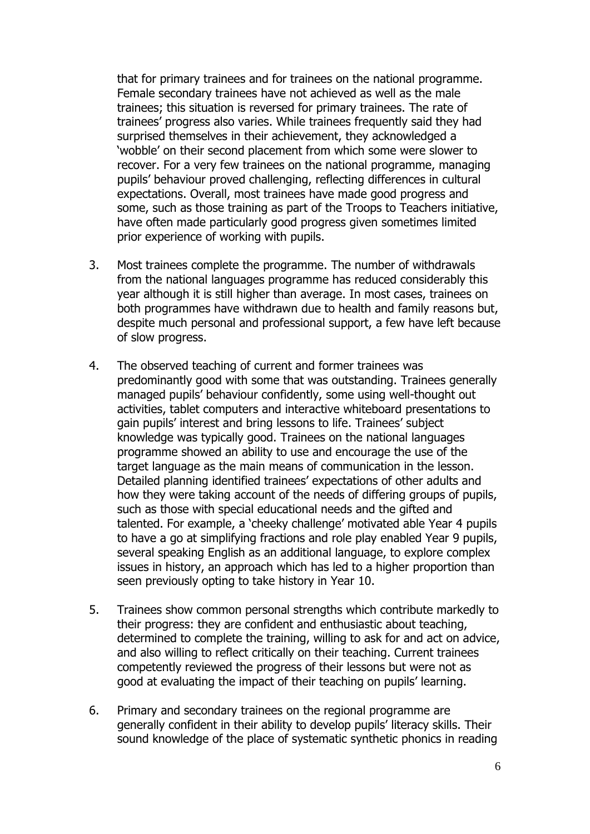that for primary trainees and for trainees on the national programme. Female secondary trainees have not achieved as well as the male trainees; this situation is reversed for primary trainees. The rate of trainees' progress also varies. While trainees frequently said they had surprised themselves in their achievement, they acknowledged a 'wobble' on their second placement from which some were slower to recover. For a very few trainees on the national programme, managing pupils' behaviour proved challenging, reflecting differences in cultural expectations. Overall, most trainees have made good progress and some, such as those training as part of the Troops to Teachers initiative, have often made particularly good progress given sometimes limited prior experience of working with pupils.

- 3. Most trainees complete the programme. The number of withdrawals from the national languages programme has reduced considerably this year although it is still higher than average. In most cases, trainees on both programmes have withdrawn due to health and family reasons but, despite much personal and professional support, a few have left because of slow progress.
- 4. The observed teaching of current and former trainees was predominantly good with some that was outstanding. Trainees generally managed pupils' behaviour confidently, some using well-thought out activities, tablet computers and interactive whiteboard presentations to gain pupils' interest and bring lessons to life. Trainees' subject knowledge was typically good. Trainees on the national languages programme showed an ability to use and encourage the use of the target language as the main means of communication in the lesson. Detailed planning identified trainees' expectations of other adults and how they were taking account of the needs of differing groups of pupils, such as those with special educational needs and the gifted and talented. For example, a 'cheeky challenge' motivated able Year 4 pupils to have a go at simplifying fractions and role play enabled Year 9 pupils, several speaking English as an additional language, to explore complex issues in history, an approach which has led to a higher proportion than seen previously opting to take history in Year 10.
- 5. Trainees show common personal strengths which contribute markedly to their progress: they are confident and enthusiastic about teaching, determined to complete the training, willing to ask for and act on advice, and also willing to reflect critically on their teaching. Current trainees competently reviewed the progress of their lessons but were not as good at evaluating the impact of their teaching on pupils' learning.
- 6. Primary and secondary trainees on the regional programme are generally confident in their ability to develop pupils' literacy skills. Their sound knowledge of the place of systematic synthetic phonics in reading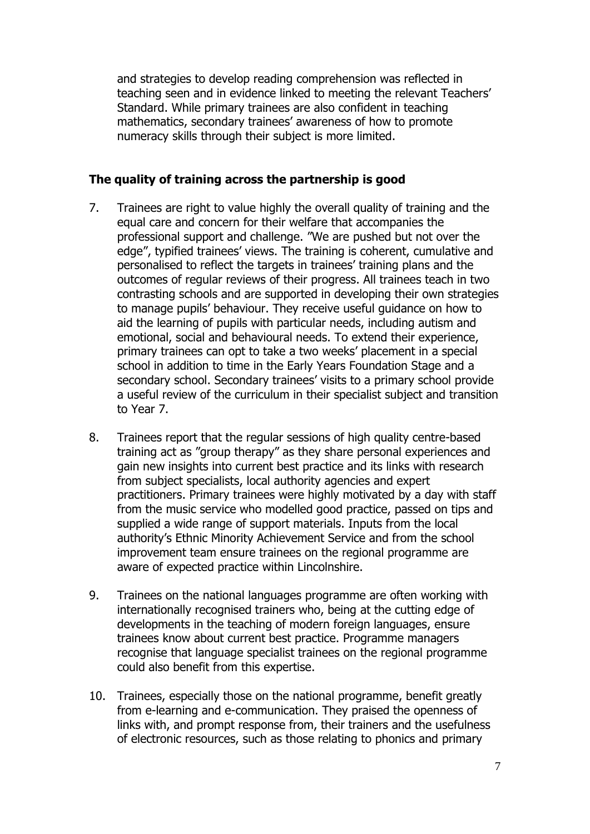and strategies to develop reading comprehension was reflected in teaching seen and in evidence linked to meeting the relevant Teachers' Standard. While primary trainees are also confident in teaching mathematics, secondary trainees' awareness of how to promote numeracy skills through their subject is more limited.

#### **The quality of training across the partnership is good**

- 7. Trainees are right to value highly the overall quality of training and the equal care and concern for their welfare that accompanies the professional support and challenge. "We are pushed but not over the edge", typified trainees' views. The training is coherent, cumulative and personalised to reflect the targets in trainees' training plans and the outcomes of regular reviews of their progress. All trainees teach in two contrasting schools and are supported in developing their own strategies to manage pupils' behaviour. They receive useful guidance on how to aid the learning of pupils with particular needs, including autism and emotional, social and behavioural needs. To extend their experience, primary trainees can opt to take a two weeks' placement in a special school in addition to time in the Early Years Foundation Stage and a secondary school. Secondary trainees' visits to a primary school provide a useful review of the curriculum in their specialist subject and transition to Year 7.
- 8. Trainees report that the regular sessions of high quality centre-based training act as "group therapy" as they share personal experiences and gain new insights into current best practice and its links with research from subject specialists, local authority agencies and expert practitioners. Primary trainees were highly motivated by a day with staff from the music service who modelled good practice, passed on tips and supplied a wide range of support materials. Inputs from the local authority's Ethnic Minority Achievement Service and from the school improvement team ensure trainees on the regional programme are aware of expected practice within Lincolnshire.
- 9. Trainees on the national languages programme are often working with internationally recognised trainers who, being at the cutting edge of developments in the teaching of modern foreign languages, ensure trainees know about current best practice. Programme managers recognise that language specialist trainees on the regional programme could also benefit from this expertise.
- 10. Trainees, especially those on the national programme, benefit greatly from e-learning and e-communication. They praised the openness of links with, and prompt response from, their trainers and the usefulness of electronic resources, such as those relating to phonics and primary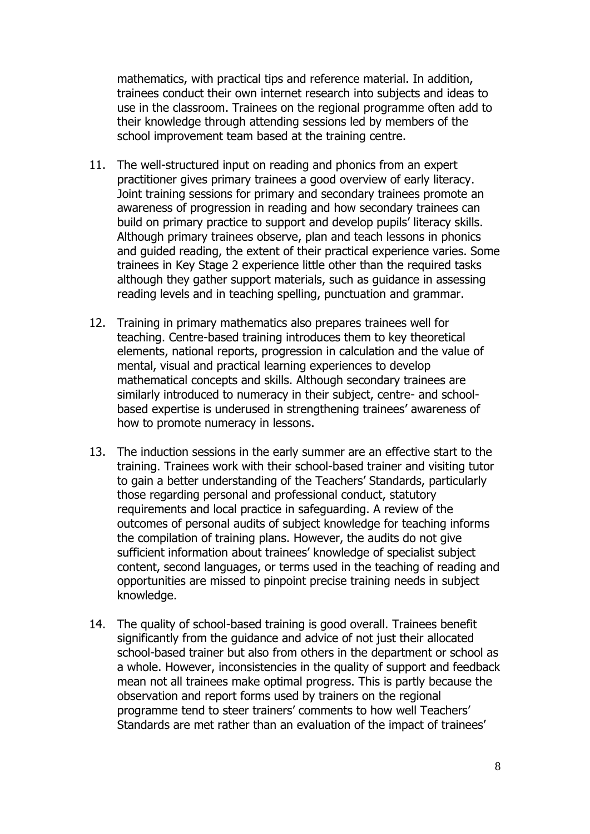mathematics, with practical tips and reference material. In addition, trainees conduct their own internet research into subjects and ideas to use in the classroom. Trainees on the regional programme often add to their knowledge through attending sessions led by members of the school improvement team based at the training centre.

- 11. The well-structured input on reading and phonics from an expert practitioner gives primary trainees a good overview of early literacy. Joint training sessions for primary and secondary trainees promote an awareness of progression in reading and how secondary trainees can build on primary practice to support and develop pupils' literacy skills. Although primary trainees observe, plan and teach lessons in phonics and guided reading, the extent of their practical experience varies. Some trainees in Key Stage 2 experience little other than the required tasks although they gather support materials, such as guidance in assessing reading levels and in teaching spelling, punctuation and grammar.
- 12. Training in primary mathematics also prepares trainees well for teaching. Centre-based training introduces them to key theoretical elements, national reports, progression in calculation and the value of mental, visual and practical learning experiences to develop mathematical concepts and skills. Although secondary trainees are similarly introduced to numeracy in their subject, centre- and schoolbased expertise is underused in strengthening trainees' awareness of how to promote numeracy in lessons.
- 13. The induction sessions in the early summer are an effective start to the training. Trainees work with their school-based trainer and visiting tutor to gain a better understanding of the Teachers' Standards, particularly those regarding personal and professional conduct, statutory requirements and local practice in safeguarding. A review of the outcomes of personal audits of subject knowledge for teaching informs the compilation of training plans. However, the audits do not give sufficient information about trainees' knowledge of specialist subject content, second languages, or terms used in the teaching of reading and opportunities are missed to pinpoint precise training needs in subject knowledge.
- 14. The quality of school-based training is good overall. Trainees benefit significantly from the guidance and advice of not just their allocated school-based trainer but also from others in the department or school as a whole. However, inconsistencies in the quality of support and feedback mean not all trainees make optimal progress. This is partly because the observation and report forms used by trainers on the regional programme tend to steer trainers' comments to how well Teachers' Standards are met rather than an evaluation of the impact of trainees'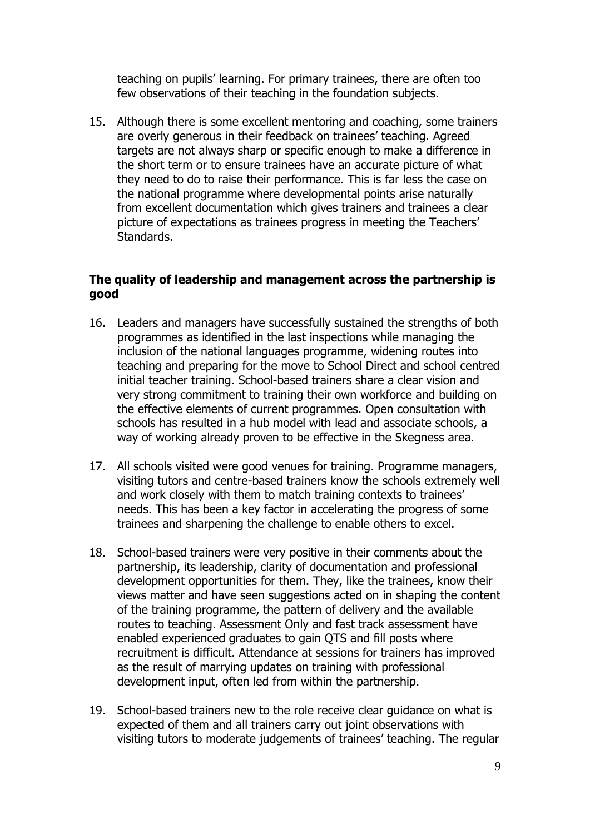teaching on pupils' learning. For primary trainees, there are often too few observations of their teaching in the foundation subjects.

15. Although there is some excellent mentoring and coaching, some trainers are overly generous in their feedback on trainees' teaching. Agreed targets are not always sharp or specific enough to make a difference in the short term or to ensure trainees have an accurate picture of what they need to do to raise their performance. This is far less the case on the national programme where developmental points arise naturally from excellent documentation which gives trainers and trainees a clear picture of expectations as trainees progress in meeting the Teachers' Standards.

#### **The quality of leadership and management across the partnership is good**

- 16. Leaders and managers have successfully sustained the strengths of both programmes as identified in the last inspections while managing the inclusion of the national languages programme, widening routes into teaching and preparing for the move to School Direct and school centred initial teacher training. School-based trainers share a clear vision and very strong commitment to training their own workforce and building on the effective elements of current programmes. Open consultation with schools has resulted in a hub model with lead and associate schools, a way of working already proven to be effective in the Skegness area.
- 17. All schools visited were good venues for training. Programme managers, visiting tutors and centre-based trainers know the schools extremely well and work closely with them to match training contexts to trainees' needs. This has been a key factor in accelerating the progress of some trainees and sharpening the challenge to enable others to excel.
- 18. School-based trainers were very positive in their comments about the partnership, its leadership, clarity of documentation and professional development opportunities for them. They, like the trainees, know their views matter and have seen suggestions acted on in shaping the content of the training programme, the pattern of delivery and the available routes to teaching. Assessment Only and fast track assessment have enabled experienced graduates to gain QTS and fill posts where recruitment is difficult. Attendance at sessions for trainers has improved as the result of marrying updates on training with professional development input, often led from within the partnership.
- 19. School-based trainers new to the role receive clear guidance on what is expected of them and all trainers carry out joint observations with visiting tutors to moderate judgements of trainees' teaching. The regular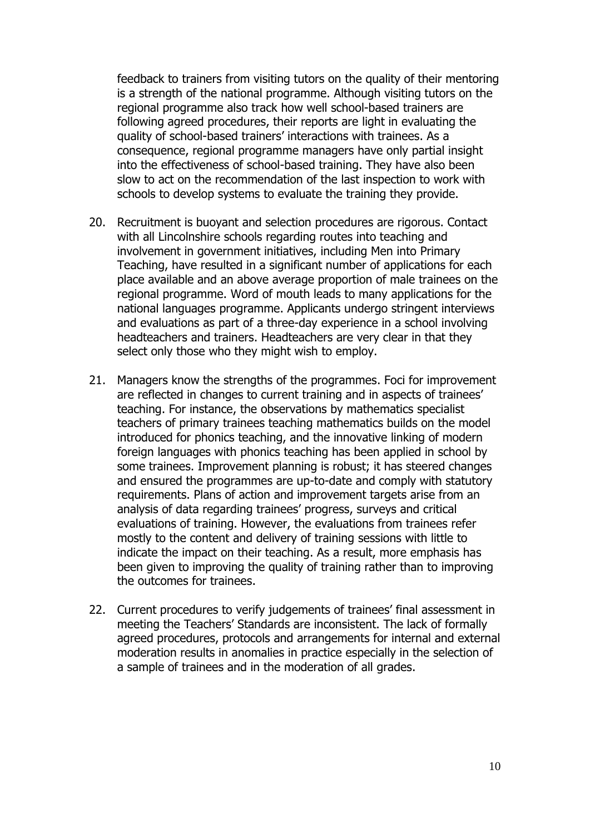feedback to trainers from visiting tutors on the quality of their mentoring is a strength of the national programme. Although visiting tutors on the regional programme also track how well school-based trainers are following agreed procedures, their reports are light in evaluating the quality of school-based trainers' interactions with trainees. As a consequence, regional programme managers have only partial insight into the effectiveness of school-based training. They have also been slow to act on the recommendation of the last inspection to work with schools to develop systems to evaluate the training they provide.

- 20. Recruitment is buoyant and selection procedures are rigorous. Contact with all Lincolnshire schools regarding routes into teaching and involvement in government initiatives, including Men into Primary Teaching, have resulted in a significant number of applications for each place available and an above average proportion of male trainees on the regional programme. Word of mouth leads to many applications for the national languages programme. Applicants undergo stringent interviews and evaluations as part of a three-day experience in a school involving headteachers and trainers. Headteachers are very clear in that they select only those who they might wish to employ.
- 21. Managers know the strengths of the programmes. Foci for improvement are reflected in changes to current training and in aspects of trainees' teaching. For instance, the observations by mathematics specialist teachers of primary trainees teaching mathematics builds on the model introduced for phonics teaching, and the innovative linking of modern foreign languages with phonics teaching has been applied in school by some trainees. Improvement planning is robust; it has steered changes and ensured the programmes are up-to-date and comply with statutory requirements. Plans of action and improvement targets arise from an analysis of data regarding trainees' progress, surveys and critical evaluations of training. However, the evaluations from trainees refer mostly to the content and delivery of training sessions with little to indicate the impact on their teaching. As a result, more emphasis has been given to improving the quality of training rather than to improving the outcomes for trainees.
- 22. Current procedures to verify judgements of trainees' final assessment in meeting the Teachers' Standards are inconsistent. The lack of formally agreed procedures, protocols and arrangements for internal and external moderation results in anomalies in practice especially in the selection of a sample of trainees and in the moderation of all grades.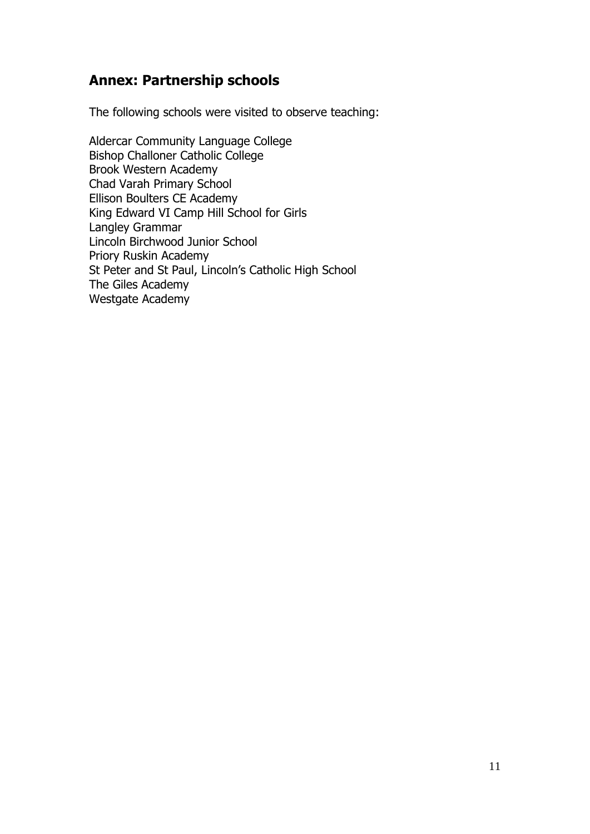# **Annex: Partnership schools**

The following schools were visited to observe teaching:

Aldercar Community Language College Bishop Challoner Catholic College Brook Western Academy Chad Varah Primary School Ellison Boulters CE Academy King Edward VI Camp Hill School for Girls Langley Grammar Lincoln Birchwood Junior School Priory Ruskin Academy St Peter and St Paul, Lincoln's Catholic High School The Giles Academy Westgate Academy